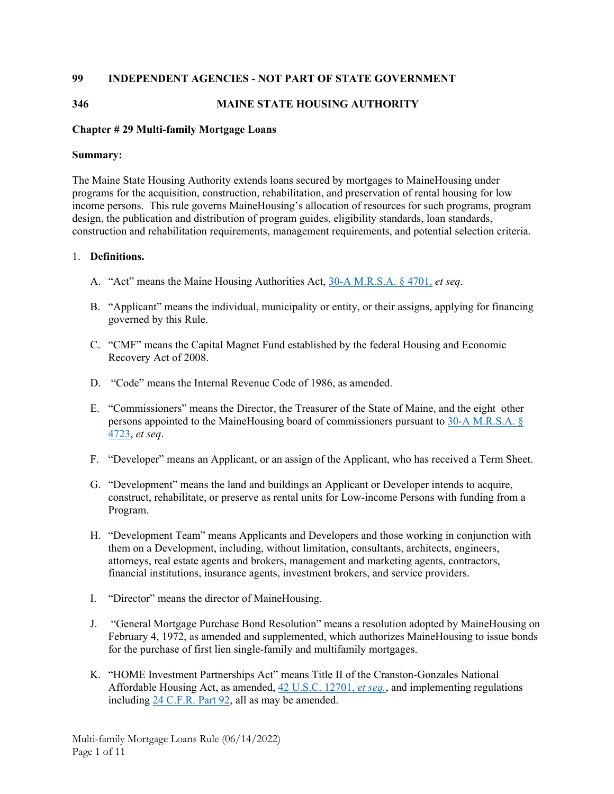## **99 INDEPENDENT AGENCIES - NOT PART OF STATE GOVERNMENT**

## **346 MAINE STATE HOUSING AUTHORITY**

## **Chapter # 29 Multi-family Mortgage Loans**

## **Summary:**

The Maine State Housing Authority extends loans secured by mortgages to MaineHousing under programs for the acquisition, construction, rehabilitation, and preservation of rental housing for low income persons. This rule governs MaineHousing's allocation of resources for such programs, program design, the publication and distribution of program guides, eligibility standards, loan standards, construction and rehabilitation requirements, management requirements, and potential selection criteria.

## 1. **Definitions.**

- A. "Act" means the Maine Housing Authorities Act, 30-A M.R.S.A. § 4701, *et seq*.
- B. "Applicant" means the individual, municipality or entity, or their assigns, applying for financing governed by this Rule.
- C. "CMF" means the Capital Magnet Fund established by the federal Housing and Economic Recovery Act of 2008.
- D. "Code" means the Internal Revenue Code of 1986, as amended.
- E. "Commissioners" means the Director, the Treasurer of the State of Maine, and the eight other persons appointed to the MaineHousing board of commissioners pursuant to 30-A M.R.S.A. § 4723, *et seq*.
- F. "Developer" means an Applicant, or an assign of the Applicant, who has received a Term Sheet.
- G. "Development" means the land and buildings an Applicant or Developer intends to acquire, construct, rehabilitate, or preserve as rental units for Low-income Persons with funding from a Program.
- H. "Development Team" means Applicants and Developers and those working in conjunction with them on a Development, including, without limitation, consultants, architects, engineers, attorneys, real estate agents and brokers, management and marketing agents, contractors, financial institutions, insurance agents, investment brokers, and service providers.
- I. "Director" means the director of MaineHousing.
- J. "General Mortgage Purchase Bond Resolution" means a resolution adopted by MaineHousing on February 4, 1972, as amended and supplemented, which authorizes MaineHousing to issue bonds for the purchase of first lien single-family and multifamily mortgages.
- K. "HOME Investment Partnerships Act" means Title II of the Cranston-Gonzales National Affordable Housing Act, as amended, 42 U.S.C. 12701, *et seq.*, and implementing regulations including 24 C.F.R. Part 92, all as may be amended.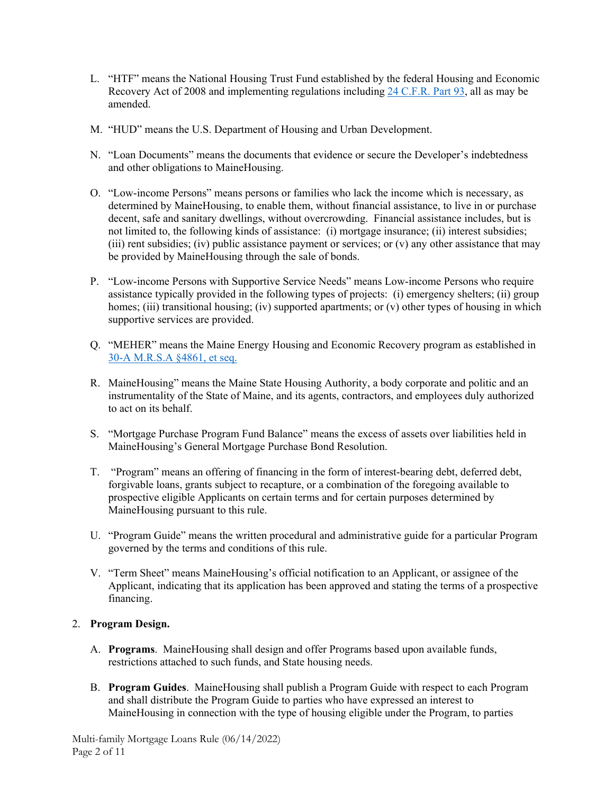- L. "HTF" means the National Housing Trust Fund established by the federal Housing and Economic Recovery Act of 2008 and implementing regulations including 24 C.F.R. Part 93, all as may be amended.
- M. "HUD" means the U.S. Department of Housing and Urban Development.
- N. "Loan Documents" means the documents that evidence or secure the Developer's indebtedness and other obligations to MaineHousing.
- O. "Low-income Persons" means persons or families who lack the income which is necessary, as determined by MaineHousing, to enable them, without financial assistance, to live in or purchase decent, safe and sanitary dwellings, without overcrowding. Financial assistance includes, but is not limited to, the following kinds of assistance: (i) mortgage insurance; (ii) interest subsidies; (iii) rent subsidies; (iv) public assistance payment or services; or  $(v)$  any other assistance that may be provided by MaineHousing through the sale of bonds.
- P. "Low-income Persons with Supportive Service Needs" means Low-income Persons who require assistance typically provided in the following types of projects: (i) emergency shelters; (ii) group homes; (iii) transitional housing; (iv) supported apartments; or (v) other types of housing in which supportive services are provided.
- Q. "MEHER" means the Maine Energy Housing and Economic Recovery program as established in 30-A M.R.S.A §4861, et seq.
- R. MaineHousing" means the Maine State Housing Authority, a body corporate and politic and an instrumentality of the State of Maine, and its agents, contractors, and employees duly authorized to act on its behalf.
- S. "Mortgage Purchase Program Fund Balance" means the excess of assets over liabilities held in MaineHousing's General Mortgage Purchase Bond Resolution.
- T. "Program" means an offering of financing in the form of interest-bearing debt, deferred debt, forgivable loans, grants subject to recapture, or a combination of the foregoing available to prospective eligible Applicants on certain terms and for certain purposes determined by MaineHousing pursuant to this rule.
- U. "Program Guide" means the written procedural and administrative guide for a particular Program governed by the terms and conditions of this rule.
- V. "Term Sheet" means MaineHousing's official notification to an Applicant, or assignee of the Applicant, indicating that its application has been approved and stating the terms of a prospective financing.

# 2. **Program Design.**

- A. **Programs**. MaineHousing shall design and offer Programs based upon available funds, restrictions attached to such funds, and State housing needs.
- B. **Program Guides**. MaineHousing shall publish a Program Guide with respect to each Program and shall distribute the Program Guide to parties who have expressed an interest to MaineHousing in connection with the type of housing eligible under the Program, to parties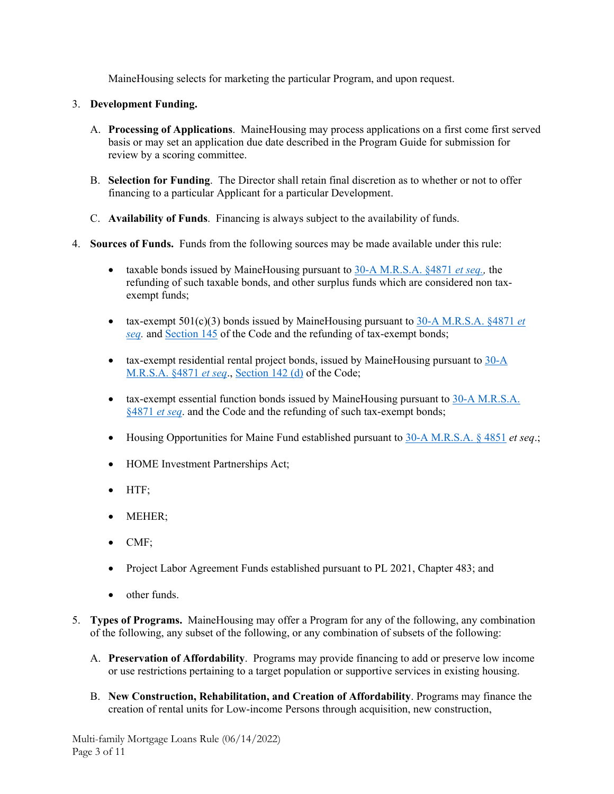MaineHousing selects for marketing the particular Program, and upon request.

# 3. **Development Funding.**

- A. **Processing of Applications**. MaineHousing may process applications on a first come first served basis or may set an application due date described in the Program Guide for submission for review by a scoring committee.
- B. **Selection for Funding**. The Director shall retain final discretion as to whether or not to offer financing to a particular Applicant for a particular Development.
- C. **Availability of Funds**. Financing is always subject to the availability of funds.
- 4. **Sources of Funds.** Funds from the following sources may be made available under this rule:
	- taxable bonds issued by MaineHousing pursuant to 30-A M.R.S.A. §4871 *et seq.,* the refunding of such taxable bonds, and other surplus funds which are considered non taxexempt funds;
	- tax-exempt  $501(c)(3)$  bonds issued by MaineHousing pursuant to  $30-A$  M.R.S.A.  $§$ 4871 *et seq.* and Section 145 of the Code and the refunding of tax-exempt bonds;
	- tax-exempt residential rental project bonds, issued by MaineHousing pursuant to 30-A M.R.S.A. §4871 *et seq*., Section 142 (d) of the Code;
	- tax-exempt essential function bonds issued by MaineHousing pursuant to 30-A M.R.S.A. §4871 *et seq*. and the Code and the refunding of such tax-exempt bonds;
	- Housing Opportunities for Maine Fund established pursuant to 30-A M.R.S.A. § 4851 *et seq*.;
	- HOME Investment Partnerships Act;
	- HTF:
	- MEHER;
	- CMF:
	- Project Labor Agreement Funds established pursuant to PL 2021, Chapter 483; and
	- other funds.
- 5. **Types of Programs.** MaineHousing may offer a Program for any of the following, any combination of the following, any subset of the following, or any combination of subsets of the following:
	- A. **Preservation of Affordability**. Programs may provide financing to add or preserve low income or use restrictions pertaining to a target population or supportive services in existing housing.
	- B. **New Construction, Rehabilitation, and Creation of Affordability**. Programs may finance the creation of rental units for Low-income Persons through acquisition, new construction,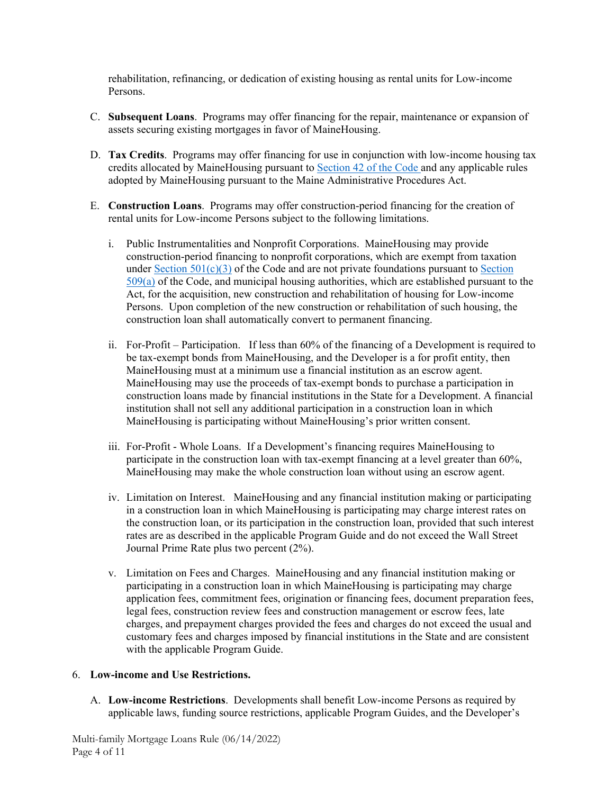rehabilitation, refinancing, or dedication of existing housing as rental units for Low-income Persons.

- C. **Subsequent Loans**. Programs may offer financing for the repair, maintenance or expansion of assets securing existing mortgages in favor of MaineHousing.
- D. **Tax Credits**. Programs may offer financing for use in conjunction with low-income housing tax credits allocated by MaineHousing pursuant to Section 42 of the Code and any applicable rules adopted by MaineHousing pursuant to the Maine Administrative Procedures Act.
- E. **Construction Loans**. Programs may offer construction-period financing for the creation of rental units for Low-income Persons subject to the following limitations.
	- i. Public Instrumentalities and Nonprofit Corporations. MaineHousing may provide construction-period financing to nonprofit corporations, which are exempt from taxation under Section  $501(c)(3)$  of the Code and are not private foundations pursuant to Section 509(a) of the Code, and municipal housing authorities, which are established pursuant to the Act, for the acquisition, new construction and rehabilitation of housing for Low-income Persons. Upon completion of the new construction or rehabilitation of such housing, the construction loan shall automatically convert to permanent financing.
	- ii. For-Profit Participation. If less than 60% of the financing of a Development is required to be tax-exempt bonds from MaineHousing, and the Developer is a for profit entity, then MaineHousing must at a minimum use a financial institution as an escrow agent. MaineHousing may use the proceeds of tax-exempt bonds to purchase a participation in construction loans made by financial institutions in the State for a Development. A financial institution shall not sell any additional participation in a construction loan in which MaineHousing is participating without MaineHousing's prior written consent.
	- iii. For-Profit Whole Loans. If a Development's financing requires MaineHousing to participate in the construction loan with tax-exempt financing at a level greater than 60%, MaineHousing may make the whole construction loan without using an escrow agent.
	- iv. Limitation on Interest. MaineHousing and any financial institution making or participating in a construction loan in which MaineHousing is participating may charge interest rates on the construction loan, or its participation in the construction loan, provided that such interest rates are as described in the applicable Program Guide and do not exceed the Wall Street Journal Prime Rate plus two percent (2%).
	- v. Limitation on Fees and Charges. MaineHousing and any financial institution making or participating in a construction loan in which MaineHousing is participating may charge application fees, commitment fees, origination or financing fees, document preparation fees, legal fees, construction review fees and construction management or escrow fees, late charges, and prepayment charges provided the fees and charges do not exceed the usual and customary fees and charges imposed by financial institutions in the State and are consistent with the applicable Program Guide.

## 6. **Low-income and Use Restrictions.**

A. **Low-income Restrictions**. Developments shall benefit Low-income Persons as required by applicable laws, funding source restrictions, applicable Program Guides, and the Developer's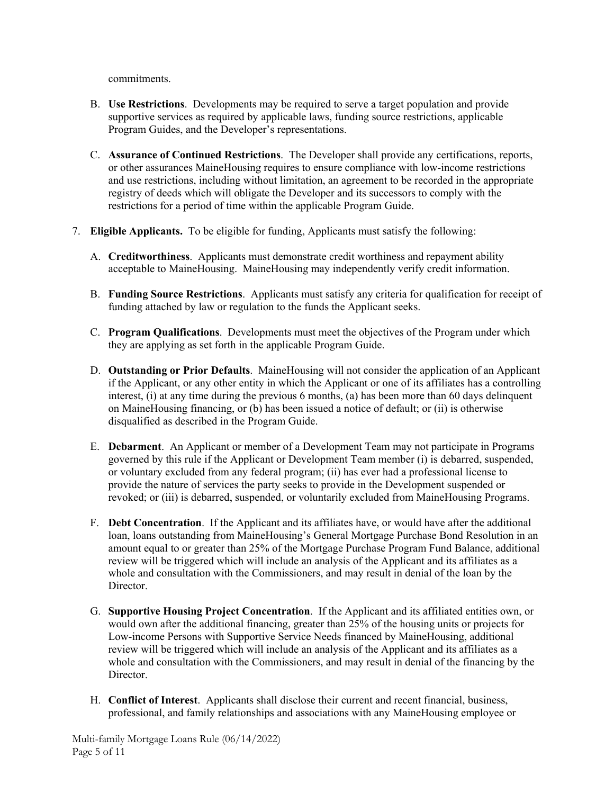commitments.

- B. **Use Restrictions**. Developments may be required to serve a target population and provide supportive services as required by applicable laws, funding source restrictions, applicable Program Guides, and the Developer's representations.
- C. **Assurance of Continued Restrictions**. The Developer shall provide any certifications, reports, or other assurances MaineHousing requires to ensure compliance with low-income restrictions and use restrictions, including without limitation, an agreement to be recorded in the appropriate registry of deeds which will obligate the Developer and its successors to comply with the restrictions for a period of time within the applicable Program Guide.
- 7. **Eligible Applicants.** To be eligible for funding, Applicants must satisfy the following:
	- A. **Creditworthiness**. Applicants must demonstrate credit worthiness and repayment ability acceptable to MaineHousing. MaineHousing may independently verify credit information.
	- B. **Funding Source Restrictions**. Applicants must satisfy any criteria for qualification for receipt of funding attached by law or regulation to the funds the Applicant seeks.
	- C. **Program Qualifications**. Developments must meet the objectives of the Program under which they are applying as set forth in the applicable Program Guide.
	- D. **Outstanding or Prior Defaults**. MaineHousing will not consider the application of an Applicant if the Applicant, or any other entity in which the Applicant or one of its affiliates has a controlling interest, (i) at any time during the previous 6 months, (a) has been more than 60 days delinquent on MaineHousing financing, or (b) has been issued a notice of default; or (ii) is otherwise disqualified as described in the Program Guide.
	- E. **Debarment**. An Applicant or member of a Development Team may not participate in Programs governed by this rule if the Applicant or Development Team member (i) is debarred, suspended, or voluntary excluded from any federal program; (ii) has ever had a professional license to provide the nature of services the party seeks to provide in the Development suspended or revoked; or (iii) is debarred, suspended, or voluntarily excluded from MaineHousing Programs.
	- F. **Debt Concentration**. If the Applicant and its affiliates have, or would have after the additional loan, loans outstanding from MaineHousing's General Mortgage Purchase Bond Resolution in an amount equal to or greater than 25% of the Mortgage Purchase Program Fund Balance, additional review will be triggered which will include an analysis of the Applicant and its affiliates as a whole and consultation with the Commissioners, and may result in denial of the loan by the Director.
	- G. **Supportive Housing Project Concentration**. If the Applicant and its affiliated entities own, or would own after the additional financing, greater than 25% of the housing units or projects for Low-income Persons with Supportive Service Needs financed by MaineHousing, additional review will be triggered which will include an analysis of the Applicant and its affiliates as a whole and consultation with the Commissioners, and may result in denial of the financing by the Director.
	- H. **Conflict of Interest**. Applicants shall disclose their current and recent financial, business, professional, and family relationships and associations with any MaineHousing employee or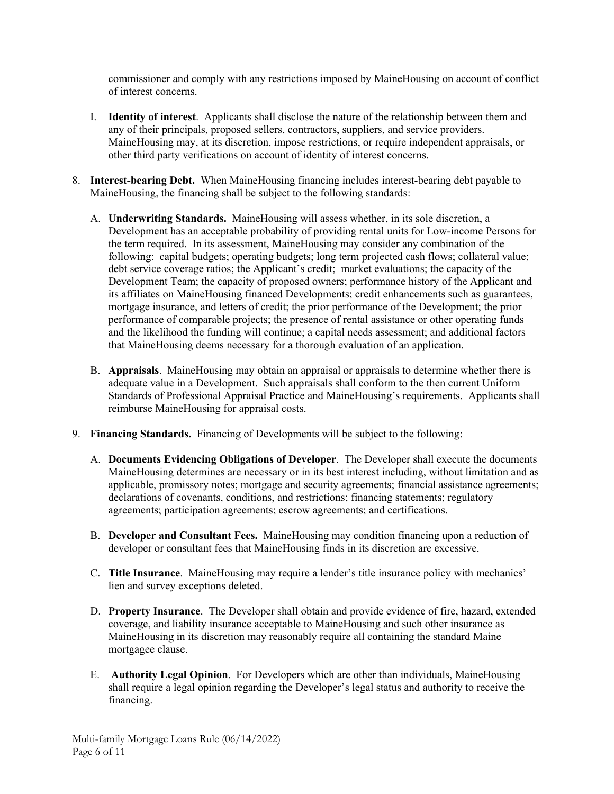commissioner and comply with any restrictions imposed by MaineHousing on account of conflict of interest concerns.

- I. **Identity of interest**. Applicants shall disclose the nature of the relationship between them and any of their principals, proposed sellers, contractors, suppliers, and service providers. MaineHousing may, at its discretion, impose restrictions, or require independent appraisals, or other third party verifications on account of identity of interest concerns.
- 8. **Interest-bearing Debt.** When MaineHousing financing includes interest-bearing debt payable to MaineHousing, the financing shall be subject to the following standards:
	- A. **Underwriting Standards.** MaineHousing will assess whether, in its sole discretion, a Development has an acceptable probability of providing rental units for Low-income Persons for the term required. In its assessment, MaineHousing may consider any combination of the following: capital budgets; operating budgets; long term projected cash flows; collateral value; debt service coverage ratios; the Applicant's credit; market evaluations; the capacity of the Development Team; the capacity of proposed owners; performance history of the Applicant and its affiliates on MaineHousing financed Developments; credit enhancements such as guarantees, mortgage insurance, and letters of credit; the prior performance of the Development; the prior performance of comparable projects; the presence of rental assistance or other operating funds and the likelihood the funding will continue; a capital needs assessment; and additional factors that MaineHousing deems necessary for a thorough evaluation of an application.
	- B. **Appraisals**. MaineHousing may obtain an appraisal or appraisals to determine whether there is adequate value in a Development. Such appraisals shall conform to the then current Uniform Standards of Professional Appraisal Practice and MaineHousing's requirements. Applicants shall reimburse MaineHousing for appraisal costs.
- 9. **Financing Standards.** Financing of Developments will be subject to the following:
	- A. **Documents Evidencing Obligations of Developer**. The Developer shall execute the documents MaineHousing determines are necessary or in its best interest including, without limitation and as applicable, promissory notes; mortgage and security agreements; financial assistance agreements; declarations of covenants, conditions, and restrictions; financing statements; regulatory agreements; participation agreements; escrow agreements; and certifications.
	- B. **Developer and Consultant Fees.** MaineHousing may condition financing upon a reduction of developer or consultant fees that MaineHousing finds in its discretion are excessive.
	- C. **Title Insurance**. MaineHousing may require a lender's title insurance policy with mechanics' lien and survey exceptions deleted.
	- D. **Property Insurance**. The Developer shall obtain and provide evidence of fire, hazard, extended coverage, and liability insurance acceptable to MaineHousing and such other insurance as MaineHousing in its discretion may reasonably require all containing the standard Maine mortgagee clause.
	- E. **Authority Legal Opinion**. For Developers which are other than individuals, MaineHousing shall require a legal opinion regarding the Developer's legal status and authority to receive the financing.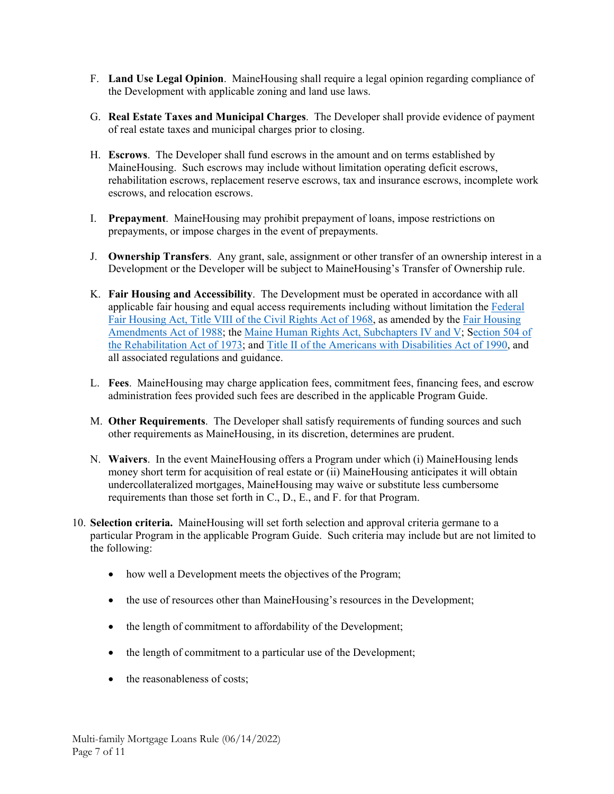- F. **Land Use Legal Opinion**. MaineHousing shall require a legal opinion regarding compliance of the Development with applicable zoning and land use laws.
- G. **Real Estate Taxes and Municipal Charges**. The Developer shall provide evidence of payment of real estate taxes and municipal charges prior to closing.
- H. **Escrows**. The Developer shall fund escrows in the amount and on terms established by MaineHousing. Such escrows may include without limitation operating deficit escrows, rehabilitation escrows, replacement reserve escrows, tax and insurance escrows, incomplete work escrows, and relocation escrows.
- I. **Prepayment**. MaineHousing may prohibit prepayment of loans, impose restrictions on prepayments, or impose charges in the event of prepayments.
- J. **Ownership Transfers**. Any grant, sale, assignment or other transfer of an ownership interest in a Development or the Developer will be subject to MaineHousing's Transfer of Ownership rule.
- K. **Fair Housing and Accessibility**. The Development must be operated in accordance with all applicable fair housing and equal access requirements including without limitation the Federal Fair Housing Act, Title VIII of the Civil Rights Act of 1968, as amended by the Fair Housing Amendments Act of 1988; the Maine Human Rights Act, Subchapters IV and V; Section 504 of the Rehabilitation Act of 1973; and Title II of the Americans with Disabilities Act of 1990, and all associated regulations and guidance.
- L. **Fees**. MaineHousing may charge application fees, commitment fees, financing fees, and escrow administration fees provided such fees are described in the applicable Program Guide.
- M. **Other Requirements**. The Developer shall satisfy requirements of funding sources and such other requirements as MaineHousing, in its discretion, determines are prudent.
- N. **Waivers**. In the event MaineHousing offers a Program under which (i) MaineHousing lends money short term for acquisition of real estate or (ii) MaineHousing anticipates it will obtain undercollateralized mortgages, MaineHousing may waive or substitute less cumbersome requirements than those set forth in C., D., E., and F. for that Program.
- 10. **Selection criteria.** MaineHousing will set forth selection and approval criteria germane to a particular Program in the applicable Program Guide. Such criteria may include but are not limited to the following:
	- how well a Development meets the objectives of the Program;
	- the use of resources other than MaineHousing's resources in the Development;
	- the length of commitment to affordability of the Development;
	- the length of commitment to a particular use of the Development;
	- the reasonableness of costs;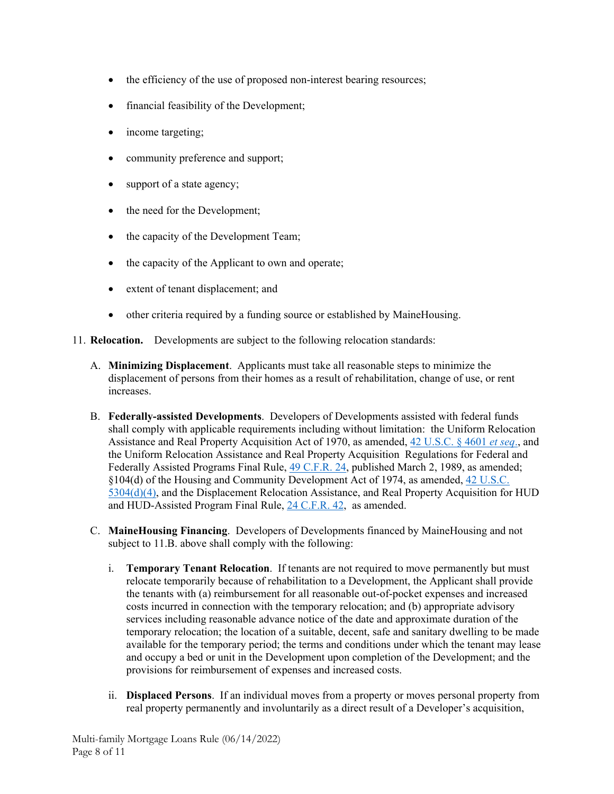- the efficiency of the use of proposed non-interest bearing resources;
- financial feasibility of the Development;
- income targeting;
- community preference and support;
- support of a state agency;
- the need for the Development;
- the capacity of the Development Team;
- the capacity of the Applicant to own and operate;
- extent of tenant displacement; and
- other criteria required by a funding source or established by MaineHousing.
- 11. **Relocation.** Developments are subject to the following relocation standards:
	- A. **Minimizing Displacement**. Applicants must take all reasonable steps to minimize the displacement of persons from their homes as a result of rehabilitation, change of use, or rent increases.
	- B. **Federally-assisted Developments**. Developers of Developments assisted with federal funds shall comply with applicable requirements including without limitation: the Uniform Relocation Assistance and Real Property Acquisition Act of 1970, as amended, 42 U.S.C. § 4601 *et seq*., and the Uniform Relocation Assistance and Real Property Acquisition Regulations for Federal and Federally Assisted Programs Final Rule, 49 C.F.R. 24, published March 2, 1989, as amended; §104(d) of the Housing and Community Development Act of 1974, as amended, 42 U.S.C. 5304(d)(4), and the Displacement Relocation Assistance, and Real Property Acquisition for HUD and HUD-Assisted Program Final Rule, 24 C.F.R. 42, as amended.
	- C. **MaineHousing Financing**. Developers of Developments financed by MaineHousing and not subject to 11.B. above shall comply with the following:
		- i. **Temporary Tenant Relocation**. If tenants are not required to move permanently but must relocate temporarily because of rehabilitation to a Development, the Applicant shall provide the tenants with (a) reimbursement for all reasonable out-of-pocket expenses and increased costs incurred in connection with the temporary relocation; and (b) appropriate advisory services including reasonable advance notice of the date and approximate duration of the temporary relocation; the location of a suitable, decent, safe and sanitary dwelling to be made available for the temporary period; the terms and conditions under which the tenant may lease and occupy a bed or unit in the Development upon completion of the Development; and the provisions for reimbursement of expenses and increased costs.
		- ii. **Displaced Persons**. If an individual moves from a property or moves personal property from real property permanently and involuntarily as a direct result of a Developer's acquisition,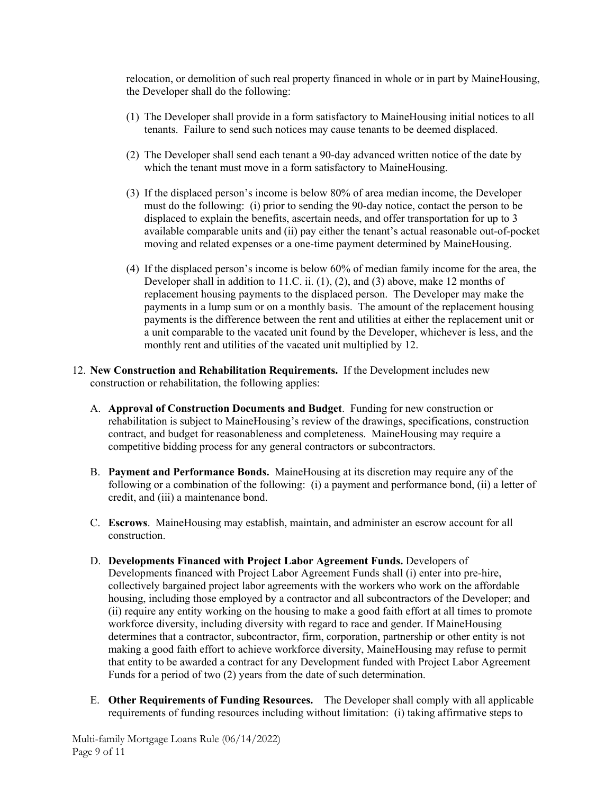relocation, or demolition of such real property financed in whole or in part by MaineHousing, the Developer shall do the following:

- (1) The Developer shall provide in a form satisfactory to MaineHousing initial notices to all tenants. Failure to send such notices may cause tenants to be deemed displaced.
- (2) The Developer shall send each tenant a 90-day advanced written notice of the date by which the tenant must move in a form satisfactory to MaineHousing.
- (3) If the displaced person's income is below 80% of area median income, the Developer must do the following: (i) prior to sending the 90-day notice, contact the person to be displaced to explain the benefits, ascertain needs, and offer transportation for up to 3 available comparable units and (ii) pay either the tenant's actual reasonable out-of-pocket moving and related expenses or a one-time payment determined by MaineHousing.
- (4) If the displaced person's income is below 60% of median family income for the area, the Developer shall in addition to 11.C. ii. (1), (2), and (3) above, make 12 months of replacement housing payments to the displaced person. The Developer may make the payments in a lump sum or on a monthly basis. The amount of the replacement housing payments is the difference between the rent and utilities at either the replacement unit or a unit comparable to the vacated unit found by the Developer, whichever is less, and the monthly rent and utilities of the vacated unit multiplied by 12.
- 12. **New Construction and Rehabilitation Requirements.** If the Development includes new construction or rehabilitation, the following applies:
	- A. **Approval of Construction Documents and Budget**. Funding for new construction or rehabilitation is subject to MaineHousing's review of the drawings, specifications, construction contract, and budget for reasonableness and completeness. MaineHousing may require a competitive bidding process for any general contractors or subcontractors.
	- B. **Payment and Performance Bonds.** MaineHousing at its discretion may require any of the following or a combination of the following: (i) a payment and performance bond, (ii) a letter of credit, and (iii) a maintenance bond.
	- C. **Escrows**. MaineHousing may establish, maintain, and administer an escrow account for all construction.
	- D. **Developments Financed with Project Labor Agreement Funds.** Developers of Developments financed with Project Labor Agreement Funds shall (i) enter into pre-hire, collectively bargained project labor agreements with the workers who work on the affordable housing, including those employed by a contractor and all subcontractors of the Developer; and (ii) require any entity working on the housing to make a good faith effort at all times to promote workforce diversity, including diversity with regard to race and gender. If MaineHousing determines that a contractor, subcontractor, firm, corporation, partnership or other entity is not making a good faith effort to achieve workforce diversity, MaineHousing may refuse to permit that entity to be awarded a contract for any Development funded with Project Labor Agreement Funds for a period of two (2) years from the date of such determination.
	- E. **Other Requirements of Funding Resources.** The Developer shall comply with all applicable requirements of funding resources including without limitation: (i) taking affirmative steps to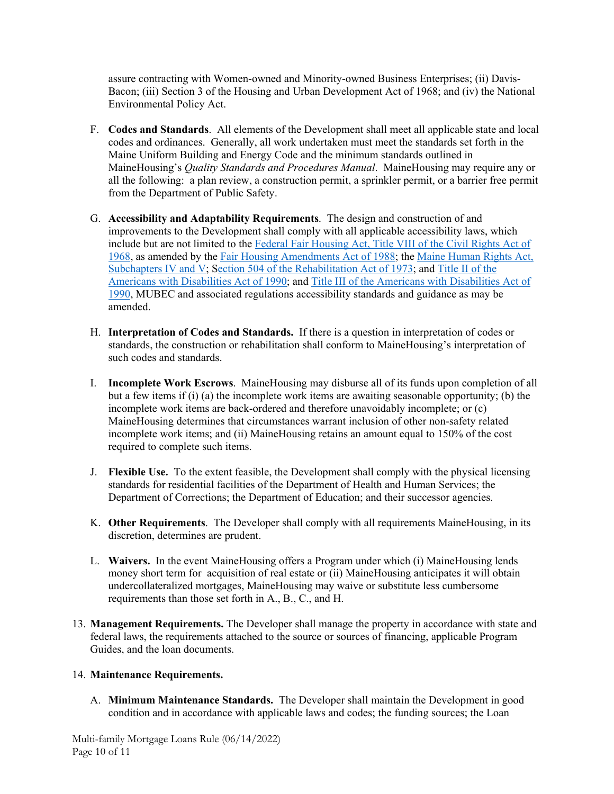assure contracting with Women-owned and Minority-owned Business Enterprises; (ii) Davis-Bacon; (iii) Section 3 of the Housing and Urban Development Act of 1968; and (iv) the National Environmental Policy Act.

- F. **Codes and Standards**. All elements of the Development shall meet all applicable state and local codes and ordinances. Generally, all work undertaken must meet the standards set forth in the Maine Uniform Building and Energy Code and the minimum standards outlined in MaineHousing's *Quality Standards and Procedures Manual*. MaineHousing may require any or all the following: a plan review, a construction permit, a sprinkler permit, or a barrier free permit from the Department of Public Safety.
- G. **Accessibility and Adaptability Requirements**. The design and construction of and improvements to the Development shall comply with all applicable accessibility laws, which include but are not limited to the Federal Fair Housing Act, Title VIII of the Civil Rights Act of 1968, as amended by the Fair Housing Amendments Act of 1988; the Maine Human Rights Act, Subchapters IV and V; Section 504 of the Rehabilitation Act of 1973; and Title II of the Americans with Disabilities Act of 1990; and Title III of the Americans with Disabilities Act of 1990, MUBEC and associated regulations accessibility standards and guidance as may be amended.
- H. **Interpretation of Codes and Standards.** If there is a question in interpretation of codes or standards, the construction or rehabilitation shall conform to MaineHousing's interpretation of such codes and standards.
- I. **Incomplete Work Escrows**. MaineHousing may disburse all of its funds upon completion of all but a few items if (i) (a) the incomplete work items are awaiting seasonable opportunity; (b) the incomplete work items are back-ordered and therefore unavoidably incomplete; or (c) MaineHousing determines that circumstances warrant inclusion of other non-safety related incomplete work items; and (ii) MaineHousing retains an amount equal to 150% of the cost required to complete such items.
- J. **Flexible Use.** To the extent feasible, the Development shall comply with the physical licensing standards for residential facilities of the Department of Health and Human Services; the Department of Corrections; the Department of Education; and their successor agencies.
- K. **Other Requirements**. The Developer shall comply with all requirements MaineHousing, in its discretion, determines are prudent.
- L. **Waivers.** In the event MaineHousing offers a Program under which (i) MaineHousing lends money short term for acquisition of real estate or (ii) MaineHousing anticipates it will obtain undercollateralized mortgages, MaineHousing may waive or substitute less cumbersome requirements than those set forth in A., B., C., and H.
- 13. **Management Requirements.** The Developer shall manage the property in accordance with state and federal laws, the requirements attached to the source or sources of financing, applicable Program Guides, and the loan documents.

# 14. **Maintenance Requirements.**

A. **Minimum Maintenance Standards.** The Developer shall maintain the Development in good condition and in accordance with applicable laws and codes; the funding sources; the Loan